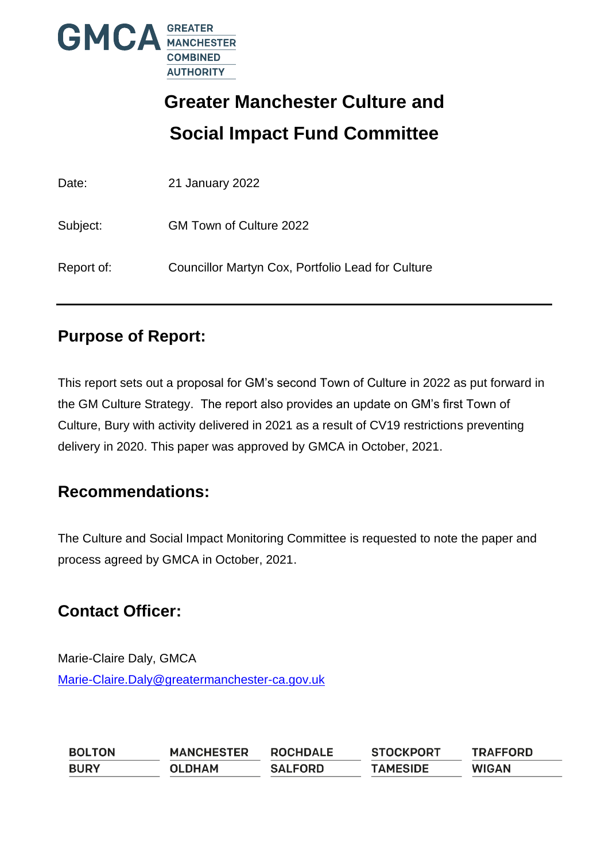

# **Greater Manchester Culture and Social Impact Fund Committee**

| Date:      | 21 January 2022                                   |
|------------|---------------------------------------------------|
| Subject:   | GM Town of Culture 2022                           |
| Report of: | Councillor Martyn Cox, Portfolio Lead for Culture |

## **Purpose of Report:**

This report sets out a proposal for GM's second Town of Culture in 2022 as put forward in the GM Culture Strategy. The report also provides an update on GM's first Town of Culture, Bury with activity delivered in 2021 as a result of CV19 restrictions preventing delivery in 2020. This paper was approved by GMCA in October, 2021.

## **Recommendations:**

The Culture and Social Impact Monitoring Committee is requested to note the paper and process agreed by GMCA in October, 2021.

# **Contact Officer:**

Marie-Claire Daly, GMCA [Marie-Claire.Daly@greatermanchester-ca.gov.uk](mailto:Marie-Claire.Daly@greatermanchester-ca.gov.uk)

| <b>BOLTON</b> | <b>MANCHESTER</b> | <b>ROCHDALE</b> | <b>STOCKPORT</b> | <b>TRAFFORD</b> |
|---------------|-------------------|-----------------|------------------|-----------------|
| <b>BURY</b>   | <b>OLDHAM</b>     | <b>SALFORD</b>  | <b>TAMESIDE</b>  | <b>WIGAN</b>    |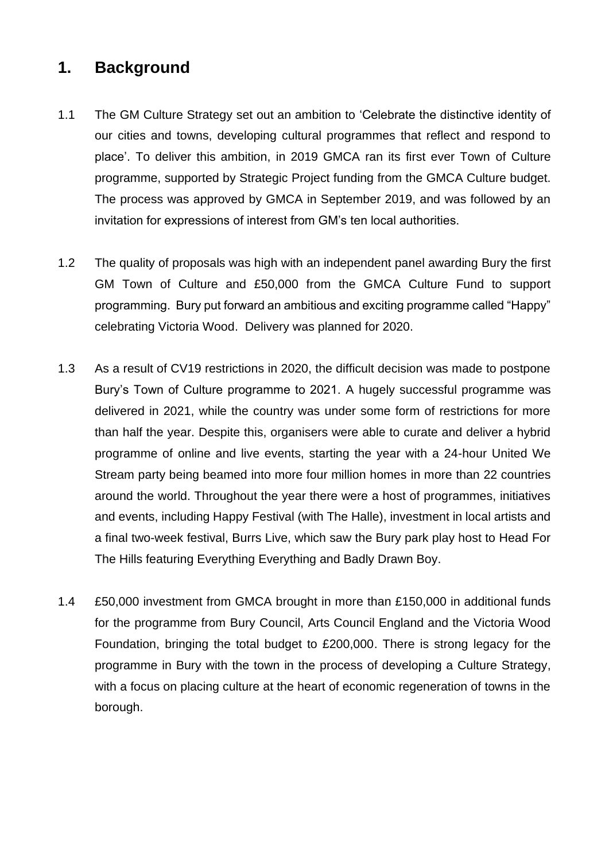# **1. Background**

- 1.1 The GM Culture Strategy set out an ambition to 'Celebrate the distinctive identity of our cities and towns, developing cultural programmes that reflect and respond to place'. To deliver this ambition, in 2019 GMCA ran its first ever Town of Culture programme, supported by Strategic Project funding from the GMCA Culture budget. The process was approved by GMCA in September 2019, and was followed by an invitation for expressions of interest from GM's ten local authorities.
- 1.2 The quality of proposals was high with an independent panel awarding Bury the first GM Town of Culture and £50,000 from the GMCA Culture Fund to support programming. Bury put forward an ambitious and exciting programme called "Happy" celebrating Victoria Wood. Delivery was planned for 2020.
- 1.3 As a result of CV19 restrictions in 2020, the difficult decision was made to postpone Bury's Town of Culture programme to 2021. A hugely successful programme was delivered in 2021, while the country was under some form of restrictions for more than half the year. Despite this, organisers were able to curate and deliver a hybrid programme of online and live events, starting the year with a 24-hour United We Stream party being beamed into more four million homes in more than 22 countries around the world. Throughout the year there were a host of programmes, initiatives and events, including Happy Festival (with The Halle), investment in local artists and a final two-week festival, Burrs Live, which saw the Bury park play host to Head For The Hills featuring Everything Everything and Badly Drawn Boy.
- 1.4 £50,000 investment from GMCA brought in more than £150,000 in additional funds for the programme from Bury Council, Arts Council England and the Victoria Wood Foundation, bringing the total budget to £200,000. There is strong legacy for the programme in Bury with the town in the process of developing a Culture Strategy, with a focus on placing culture at the heart of economic regeneration of towns in the borough.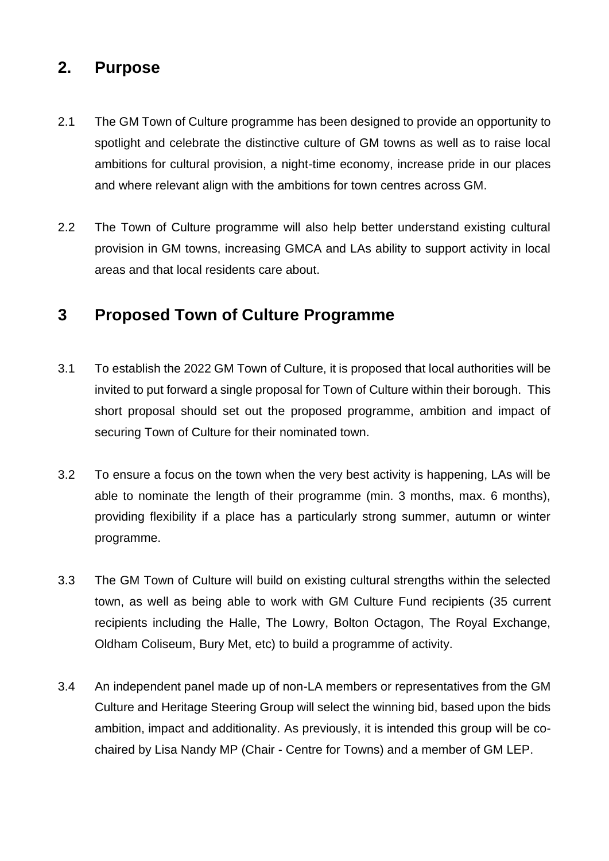# **2. Purpose**

- 2.1 The GM Town of Culture programme has been designed to provide an opportunity to spotlight and celebrate the distinctive culture of GM towns as well as to raise local ambitions for cultural provision, a night-time economy, increase pride in our places and where relevant align with the ambitions for town centres across GM.
- 2.2 The Town of Culture programme will also help better understand existing cultural provision in GM towns, increasing GMCA and LAs ability to support activity in local areas and that local residents care about.

#### **3 Proposed Town of Culture Programme**

- 3.1 To establish the 2022 GM Town of Culture, it is proposed that local authorities will be invited to put forward a single proposal for Town of Culture within their borough. This short proposal should set out the proposed programme, ambition and impact of securing Town of Culture for their nominated town.
- 3.2 To ensure a focus on the town when the very best activity is happening, LAs will be able to nominate the length of their programme (min. 3 months, max. 6 months), providing flexibility if a place has a particularly strong summer, autumn or winter programme.
- 3.3 The GM Town of Culture will build on existing cultural strengths within the selected town, as well as being able to work with GM Culture Fund recipients (35 current recipients including the Halle, The Lowry, Bolton Octagon, The Royal Exchange, Oldham Coliseum, Bury Met, etc) to build a programme of activity.
- 3.4 An independent panel made up of non-LA members or representatives from the GM Culture and Heritage Steering Group will select the winning bid, based upon the bids ambition, impact and additionality. As previously, it is intended this group will be cochaired by Lisa Nandy MP (Chair - Centre for Towns) and a member of GM LEP.